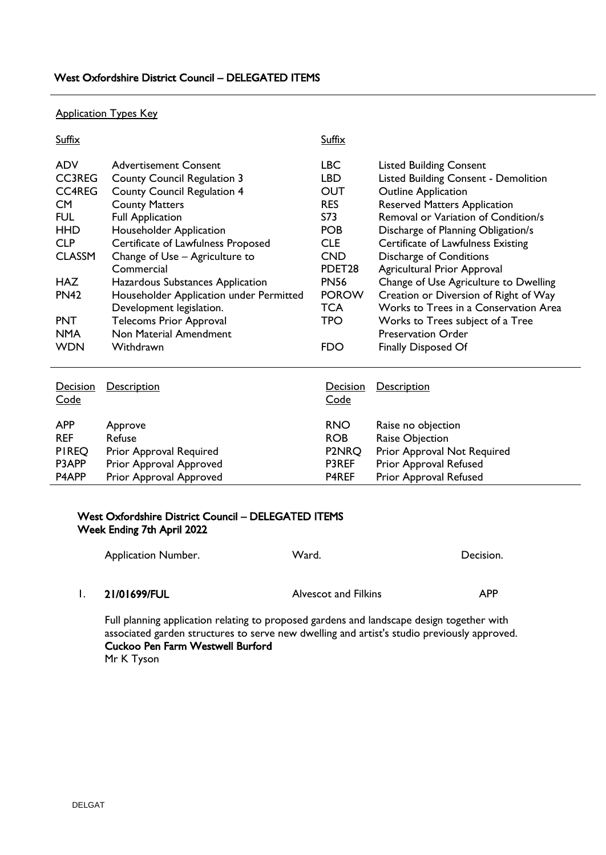## Application Types Key

| Suffix                                                                                                                    |                                                                                                                                                                                                                                                                 | Suffix                                                                                                |                                                                                                                                                                                                                                                                                                  |
|---------------------------------------------------------------------------------------------------------------------------|-----------------------------------------------------------------------------------------------------------------------------------------------------------------------------------------------------------------------------------------------------------------|-------------------------------------------------------------------------------------------------------|--------------------------------------------------------------------------------------------------------------------------------------------------------------------------------------------------------------------------------------------------------------------------------------------------|
| <b>ADV</b><br><b>CC3REG</b><br><b>CC4REG</b><br>CM <sub></sub><br><b>FUL</b><br><b>HHD</b><br><b>CLP</b><br><b>CLASSM</b> | <b>Advertisement Consent</b><br><b>County Council Regulation 3</b><br><b>County Council Regulation 4</b><br><b>County Matters</b><br><b>Full Application</b><br>Householder Application<br>Certificate of Lawfulness Proposed<br>Change of Use - Agriculture to | <b>LBC</b><br><b>LBD</b><br><b>OUT</b><br><b>RES</b><br>S73<br><b>POB</b><br><b>CLE</b><br><b>CND</b> | <b>Listed Building Consent</b><br><b>Listed Building Consent - Demolition</b><br><b>Outline Application</b><br><b>Reserved Matters Application</b><br>Removal or Variation of Condition/s<br>Discharge of Planning Obligation/s<br>Certificate of Lawfulness Existing<br>Discharge of Conditions |
| <b>HAZ</b><br><b>PN42</b><br><b>PNT</b><br><b>NMA</b><br><b>WDN</b>                                                       | Commercial<br>Hazardous Substances Application<br>Householder Application under Permitted<br>Development legislation.<br><b>Telecoms Prior Approval</b><br>Non Material Amendment<br>Withdrawn                                                                  | PDET <sub>28</sub><br><b>PN56</b><br><b>POROW</b><br><b>TCA</b><br>TPO<br><b>FDO</b>                  | <b>Agricultural Prior Approval</b><br>Change of Use Agriculture to Dwelling<br>Creation or Diversion of Right of Way<br>Works to Trees in a Conservation Area<br>Works to Trees subject of a Tree<br><b>Preservation Order</b><br><b>Finally Disposed Of</b>                                     |
| Decision<br>Code                                                                                                          | <b>Description</b>                                                                                                                                                                                                                                              | Decision<br>Code                                                                                      | <b>Description</b>                                                                                                                                                                                                                                                                               |
| <b>APP</b><br><b>REF</b><br><b>PIREQ</b><br>P3APP<br>P4APP                                                                | Approve<br>Refuse<br>Prior Approval Required<br>Prior Approval Approved<br>Prior Approval Approved                                                                                                                                                              | <b>RNO</b><br><b>ROB</b><br>P2NRQ<br>P3REF<br>P4REF                                                   | Raise no objection<br>Raise Objection<br>Prior Approval Not Required<br>Prior Approval Refused<br>Prior Approval Refused                                                                                                                                                                         |

## West Oxfordshire District Council – DELEGATED ITEMS Week Ending 7th April 2022

| <b>Application Number.</b> | Ward.                | Decision.  |
|----------------------------|----------------------|------------|
|                            |                      |            |
| 21/01699/FUL               | Alvescot and Filkins | <b>APP</b> |

Full planning application relating to proposed gardens and landscape design together with associated garden structures to serve new dwelling and artist's studio previously approved. Cuckoo Pen Farm Westwell Burford Mr K Tyson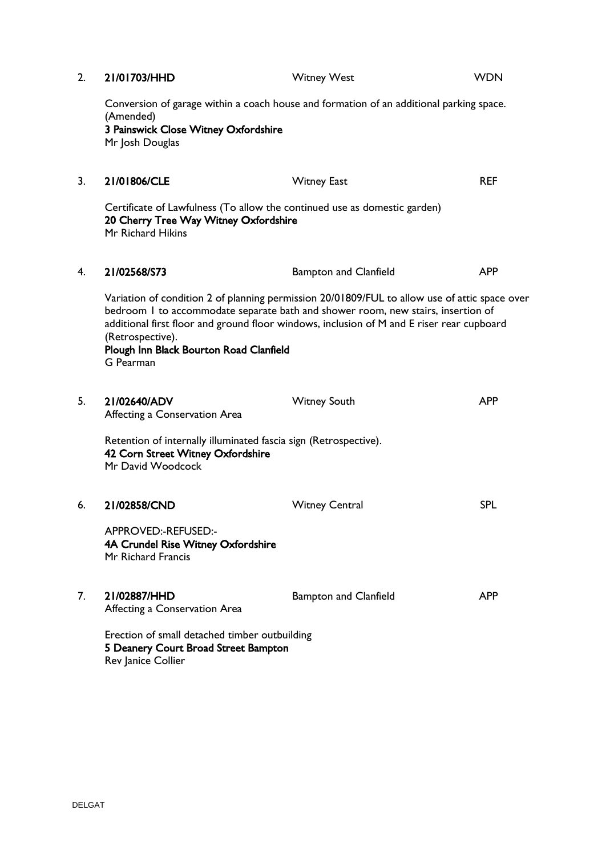| 2. | 21/01703/HHD                                                                                                                            | <b>Witney West</b>                                                                                                                                                                                                                                                             | <b>WDN</b> |
|----|-----------------------------------------------------------------------------------------------------------------------------------------|--------------------------------------------------------------------------------------------------------------------------------------------------------------------------------------------------------------------------------------------------------------------------------|------------|
|    | (Amended)<br>3 Painswick Close Witney Oxfordshire<br>Mr Josh Douglas                                                                    | Conversion of garage within a coach house and formation of an additional parking space.                                                                                                                                                                                        |            |
| 3. | 21/01806/CLE                                                                                                                            | <b>Witney East</b>                                                                                                                                                                                                                                                             | <b>REF</b> |
|    | Certificate of Lawfulness (To allow the continued use as domestic garden)<br>20 Cherry Tree Way Witney Oxfordshire<br>Mr Richard Hikins |                                                                                                                                                                                                                                                                                |            |
| 4. | 21/02568/S73                                                                                                                            | <b>Bampton and Clanfield</b>                                                                                                                                                                                                                                                   | <b>APP</b> |
|    | (Retrospective).<br>Plough Inn Black Bourton Road Clanfield<br>G Pearman                                                                | Variation of condition 2 of planning permission 20/01809/FUL to allow use of attic space over<br>bedroom I to accommodate separate bath and shower room, new stairs, insertion of<br>additional first floor and ground floor windows, inclusion of M and E riser rear cupboard |            |
| 5. | 21/02640/ADV<br>Affecting a Conservation Area                                                                                           | <b>Witney South</b>                                                                                                                                                                                                                                                            | <b>APP</b> |
|    | Retention of internally illuminated fascia sign (Retrospective).<br>42 Corn Street Witney Oxfordshire<br>Mr David Woodcock              |                                                                                                                                                                                                                                                                                |            |
| 6. | 21/02858/CND                                                                                                                            | <b>Witney Central</b>                                                                                                                                                                                                                                                          | <b>SPL</b> |
|    | APPROVED:-REFUSED:-<br>4A Crundel Rise Witney Oxfordshire<br>Mr Richard Francis                                                         |                                                                                                                                                                                                                                                                                |            |
| 7. | 21/02887/HHD<br>Affecting a Conservation Area                                                                                           | <b>Bampton and Clanfield</b>                                                                                                                                                                                                                                                   | <b>APP</b> |
|    | Erection of small detached timber outbuilding<br>5 Deanery Court Broad Street Bampton<br>Rev Janice Collier                             |                                                                                                                                                                                                                                                                                |            |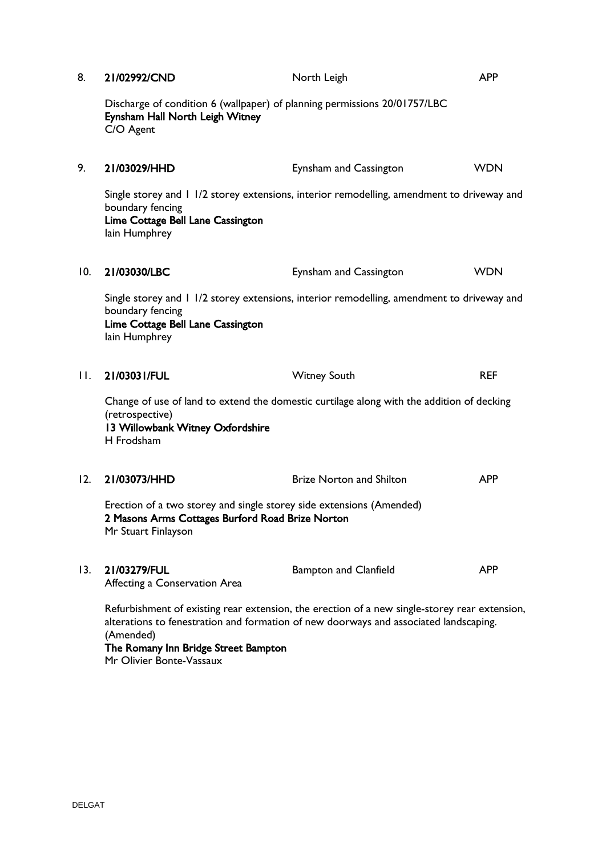| 8.      | 21/02992/CND                                                                                                                                    | North Leigh                                                                                                                                                                            | <b>APP</b> |
|---------|-------------------------------------------------------------------------------------------------------------------------------------------------|----------------------------------------------------------------------------------------------------------------------------------------------------------------------------------------|------------|
|         | Discharge of condition 6 (wallpaper) of planning permissions 20/01757/LBC<br>Eynsham Hall North Leigh Witney<br>C/O Agent                       |                                                                                                                                                                                        |            |
| 9.      | 21/03029/HHD                                                                                                                                    | Eynsham and Cassington                                                                                                                                                                 | <b>WDN</b> |
|         | boundary fencing<br>Lime Cottage Bell Lane Cassington<br>lain Humphrey                                                                          | Single storey and 1 1/2 storey extensions, interior remodelling, amendment to driveway and                                                                                             |            |
| 10.     | 21/03030/LBC                                                                                                                                    | Eynsham and Cassington                                                                                                                                                                 | <b>WDN</b> |
|         | boundary fencing<br>Lime Cottage Bell Lane Cassington<br>lain Humphrey                                                                          | Single storey and 1 1/2 storey extensions, interior remodelling, amendment to driveway and                                                                                             |            |
| $\Pi$ . | 21/03031/FUL                                                                                                                                    | <b>Witney South</b>                                                                                                                                                                    | <b>REF</b> |
|         | (retrospective)<br>13 Willowbank Witney Oxfordshire<br>H Frodsham                                                                               | Change of use of land to extend the domestic curtilage along with the addition of decking                                                                                              |            |
| 12.     | 21/03073/HHD                                                                                                                                    | <b>Brize Norton and Shilton</b>                                                                                                                                                        | <b>APP</b> |
|         | Erection of a two storey and single storey side extensions (Amended)<br>2 Masons Arms Cottages Burford Road Brize Norton<br>Mr Stuart Finlayson |                                                                                                                                                                                        |            |
| 13.     | 21/03279/FUL<br>Affecting a Conservation Area                                                                                                   | <b>Bampton and Clanfield</b>                                                                                                                                                           | <b>APP</b> |
|         | (Amended)                                                                                                                                       | Refurbishment of existing rear extension, the erection of a new single-storey rear extension,<br>alterations to fenestration and formation of new doorways and associated landscaping. |            |

## The Romany Inn Bridge Street Bampton

Mr Olivier Bonte-Vassaux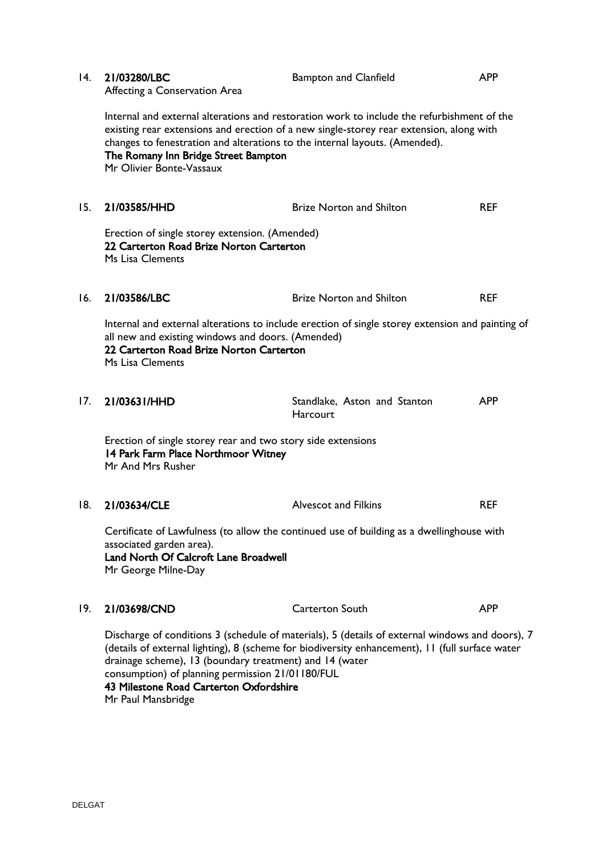| 14. | 21/03280/LBC<br>Affecting a Conservation Area                                                                                                                                         | <b>Bampton and Clanfield</b>                                                                                                                                                                       | <b>APP</b> |
|-----|---------------------------------------------------------------------------------------------------------------------------------------------------------------------------------------|----------------------------------------------------------------------------------------------------------------------------------------------------------------------------------------------------|------------|
|     | changes to fenestration and alterations to the internal layouts. (Amended).<br>The Romany Inn Bridge Street Bampton<br>Mr Olivier Bonte-Vassaux                                       | Internal and external alterations and restoration work to include the refurbishment of the<br>existing rear extensions and erection of a new single-storey rear extension, along with              |            |
| 15. | 21/03585/HHD                                                                                                                                                                          | <b>Brize Norton and Shilton</b>                                                                                                                                                                    | <b>REF</b> |
|     | Erection of single storey extension. (Amended)<br>22 Carterton Road Brize Norton Carterton<br>Ms Lisa Clements                                                                        |                                                                                                                                                                                                    |            |
| 16. | 21/03586/LBC                                                                                                                                                                          | <b>Brize Norton and Shilton</b>                                                                                                                                                                    | <b>REF</b> |
|     | all new and existing windows and doors. (Amended)<br>22 Carterton Road Brize Norton Carterton<br>Ms Lisa Clements                                                                     | Internal and external alterations to include erection of single storey extension and painting of                                                                                                   |            |
| 17. | 21/03631/HHD                                                                                                                                                                          | Standlake, Aston and Stanton<br><b>Harcourt</b>                                                                                                                                                    | <b>APP</b> |
|     | Erection of single storey rear and two story side extensions<br>14 Park Farm Place Northmoor Witney<br>Mr And Mrs Rusher                                                              |                                                                                                                                                                                                    |            |
| 18. | 21/03634/CLE                                                                                                                                                                          | <b>Alvescot and Filkins</b>                                                                                                                                                                        | <b>REF</b> |
|     | Certificate of Lawfulness (to allow the continued use of building as a dwellinghouse with<br>associated garden area).<br>Land North Of Calcroft Lane Broadwell<br>Mr George Milne-Day |                                                                                                                                                                                                    |            |
| 19. | 21/03698/CND                                                                                                                                                                          | Carterton South                                                                                                                                                                                    | <b>APP</b> |
|     | drainage scheme), 13 (boundary treatment) and 14 (water<br>consumption) of planning permission 21/01180/FUL<br>43 Milestone Road Carterton Oxfordshire<br>Mr Paul Mansbridge          | Discharge of conditions 3 (schedule of materials), 5 (details of external windows and doors), 7<br>(details of external lighting), 8 (scheme for biodiversity enhancement), 11 (full surface water |            |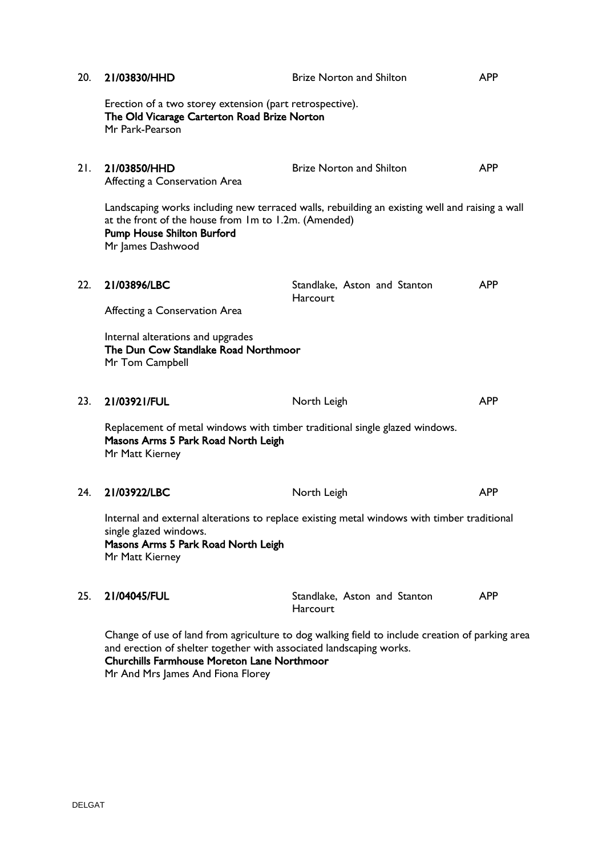| 20. | 21/03830/HHD                                                                                                                          | <b>Brize Norton and Shilton</b>                                                                 | <b>APP</b> |
|-----|---------------------------------------------------------------------------------------------------------------------------------------|-------------------------------------------------------------------------------------------------|------------|
|     | Erection of a two storey extension (part retrospective).<br>The Old Vicarage Carterton Road Brize Norton<br>Mr Park-Pearson           |                                                                                                 |            |
| 21. | 21/03850/HHD<br>Affecting a Conservation Area                                                                                         | <b>Brize Norton and Shilton</b>                                                                 | <b>APP</b> |
|     | at the front of the house from Im to I.2m. (Amended)<br><b>Pump House Shilton Burford</b><br>Mr James Dashwood                        | Landscaping works including new terraced walls, rebuilding an existing well and raising a wall  |            |
| 22. | 21/03896/LBC                                                                                                                          | Standlake, Aston and Stanton<br>Harcourt                                                        | <b>APP</b> |
|     | Affecting a Conservation Area                                                                                                         |                                                                                                 |            |
|     | Internal alterations and upgrades<br>The Dun Cow Standlake Road Northmoor<br>Mr Tom Campbell                                          |                                                                                                 |            |
| 23. | 21/03921/FUL                                                                                                                          | North Leigh                                                                                     | <b>APP</b> |
|     | Replacement of metal windows with timber traditional single glazed windows.<br>Masons Arms 5 Park Road North Leigh<br>Mr Matt Kierney |                                                                                                 |            |
| 24. | 21/03922/LBC                                                                                                                          | North Leigh                                                                                     | <b>APP</b> |
|     | single glazed windows.<br>Masons Arms 5 Park Road North Leigh<br>Mr Matt Kierney                                                      | Internal and external alterations to replace existing metal windows with timber traditional     |            |
| 25. | 21/04045/FUL                                                                                                                          | Standlake, Aston and Stanton<br>Harcourt                                                        | <b>APP</b> |
|     | and erection of shelter together with associated landscaping works.<br><b>Churchills Farmhouse Moreton Lane Northmoor</b>             | Change of use of land from agriculture to dog walking field to include creation of parking area |            |

Mr And Mrs James And Fiona Florey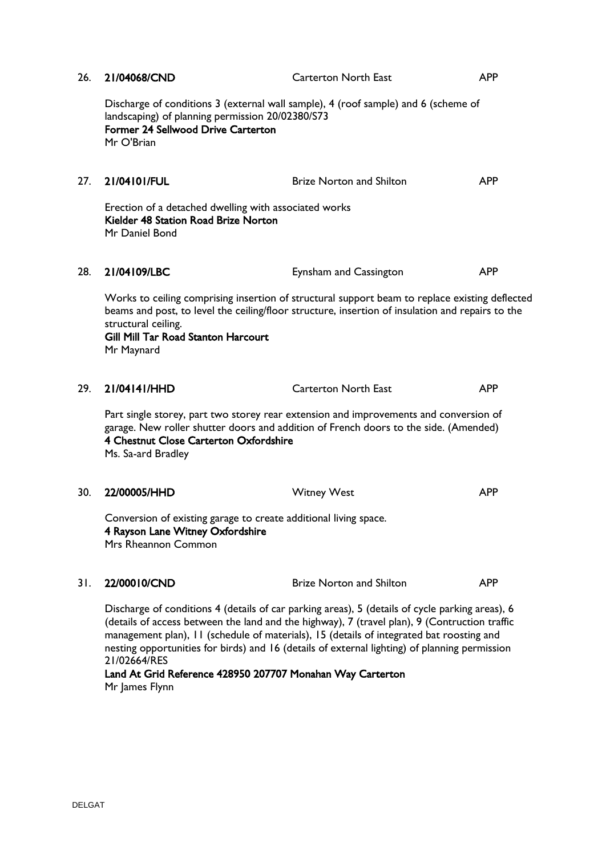| 26. | 21/04068/CND                                                                                                                                                                                                                                                                                                                                                                                  | <b>Carterton North East</b>                                                                                                                                                                        | <b>APP</b> |
|-----|-----------------------------------------------------------------------------------------------------------------------------------------------------------------------------------------------------------------------------------------------------------------------------------------------------------------------------------------------------------------------------------------------|----------------------------------------------------------------------------------------------------------------------------------------------------------------------------------------------------|------------|
|     | landscaping) of planning permission 20/02380/S73<br><b>Former 24 Sellwood Drive Carterton</b><br>Mr O'Brian                                                                                                                                                                                                                                                                                   | Discharge of conditions 3 (external wall sample), 4 (roof sample) and 6 (scheme of                                                                                                                 |            |
| 27. | 21/04101/FUL                                                                                                                                                                                                                                                                                                                                                                                  | <b>Brize Norton and Shilton</b>                                                                                                                                                                    | <b>APP</b> |
|     | Erection of a detached dwelling with associated works<br>Kielder 48 Station Road Brize Norton<br>Mr Daniel Bond                                                                                                                                                                                                                                                                               |                                                                                                                                                                                                    |            |
| 28. | 21/04109/LBC                                                                                                                                                                                                                                                                                                                                                                                  | Eynsham and Cassington                                                                                                                                                                             | <b>APP</b> |
|     | structural ceiling.<br>Gill Mill Tar Road Stanton Harcourt<br>Mr Maynard                                                                                                                                                                                                                                                                                                                      | Works to ceiling comprising insertion of structural support beam to replace existing deflected<br>beams and post, to level the ceiling/floor structure, insertion of insulation and repairs to the |            |
| 29. | 21/04141/HHD                                                                                                                                                                                                                                                                                                                                                                                  | <b>Carterton North East</b>                                                                                                                                                                        | <b>APP</b> |
|     | 4 Chestnut Close Carterton Oxfordshire<br>Ms. Sa-ard Bradley                                                                                                                                                                                                                                                                                                                                  | Part single storey, part two storey rear extension and improvements and conversion of<br>garage. New roller shutter doors and addition of French doors to the side. (Amended)                      |            |
| 30. | 22/00005/HHD                                                                                                                                                                                                                                                                                                                                                                                  | <b>Witney West</b>                                                                                                                                                                                 | <b>APP</b> |
|     | Conversion of existing garage to create additional living space.<br>4 Rayson Lane Witney Oxfordshire<br>Mrs Rheannon Common                                                                                                                                                                                                                                                                   |                                                                                                                                                                                                    |            |
| 31. | 22/00010/CND                                                                                                                                                                                                                                                                                                                                                                                  | <b>Brize Norton and Shilton</b>                                                                                                                                                                    | <b>APP</b> |
|     | Discharge of conditions 4 (details of car parking areas), 5 (details of cycle parking areas), 6<br>(details of access between the land and the highway), 7 (travel plan), 9 (Contruction traffic<br>management plan), 11 (schedule of materials), 15 (details of integrated bat roosting and<br>nesting opportunities for birds) and 16 (details of external lighting) of planning permission |                                                                                                                                                                                                    |            |

21/02664/RES Land At Grid Reference 428950 207707 Monahan Way Carterton Mr James Flynn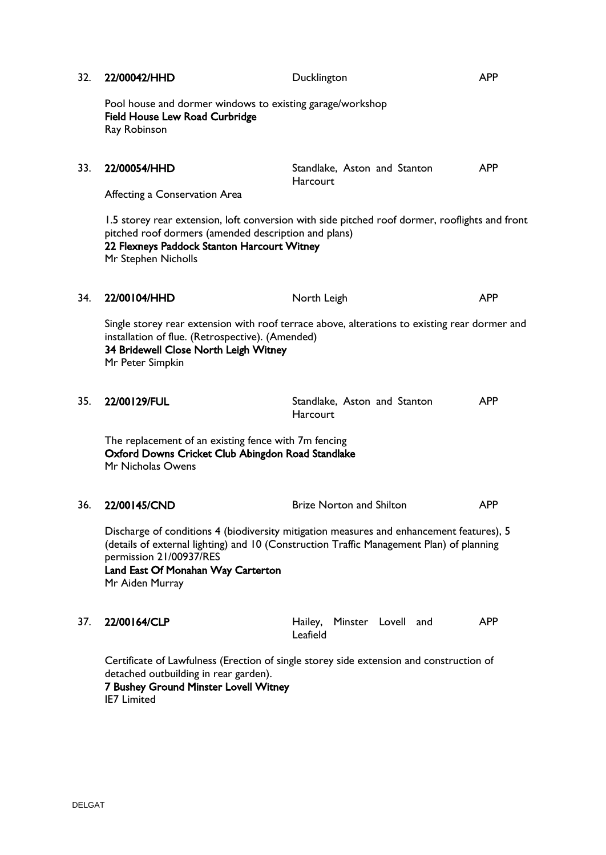| 32. | 22/00042/HHD                                                                                                                   | Ducklington                                                                                                                                                                          | <b>APP</b> |
|-----|--------------------------------------------------------------------------------------------------------------------------------|--------------------------------------------------------------------------------------------------------------------------------------------------------------------------------------|------------|
|     | Pool house and dormer windows to existing garage/workshop<br><b>Field House Lew Road Curbridge</b><br>Ray Robinson             |                                                                                                                                                                                      |            |
| 33. | 22/00054/HHD<br>Affecting a Conservation Area                                                                                  | Standlake, Aston and Stanton<br>Harcourt                                                                                                                                             | <b>APP</b> |
|     | pitched roof dormers (amended description and plans)<br>22 Flexneys Paddock Stanton Harcourt Witney<br>Mr Stephen Nicholls     | 1.5 storey rear extension, loft conversion with side pitched roof dormer, rooflights and front                                                                                       |            |
| 34. | 22/00104/HHD                                                                                                                   | North Leigh                                                                                                                                                                          | <b>APP</b> |
|     | installation of flue. (Retrospective). (Amended)<br>34 Bridewell Close North Leigh Witney<br>Mr Peter Simpkin                  | Single storey rear extension with roof terrace above, alterations to existing rear dormer and                                                                                        |            |
| 35. | 22/00129/FUL                                                                                                                   | Standlake, Aston and Stanton<br>Harcourt                                                                                                                                             | <b>APP</b> |
|     | The replacement of an existing fence with 7m fencing<br>Oxford Downs Cricket Club Abingdon Road Standlake<br>Mr Nicholas Owens |                                                                                                                                                                                      |            |
| 36. | 22/00145/CND                                                                                                                   | <b>Brize Norton and Shilton</b>                                                                                                                                                      | <b>APP</b> |
|     | permission 21/00937/RES<br>Land East Of Monahan Way Carterton<br>Mr Aiden Murray                                               | Discharge of conditions 4 (biodiversity mitigation measures and enhancement features), 5<br>(details of external lighting) and 10 (Construction Traffic Management Plan) of planning |            |
| 37. | 22/00164/CLP                                                                                                                   | Hailey, Minster Lovell and<br>Leafield                                                                                                                                               | <b>APP</b> |
|     | detached outbuilding in rear garden).<br>7 Bushey Ground Minster Lovell Witney<br><b>IE7 Limited</b>                           | Certificate of Lawfulness (Erection of single storey side extension and construction of                                                                                              |            |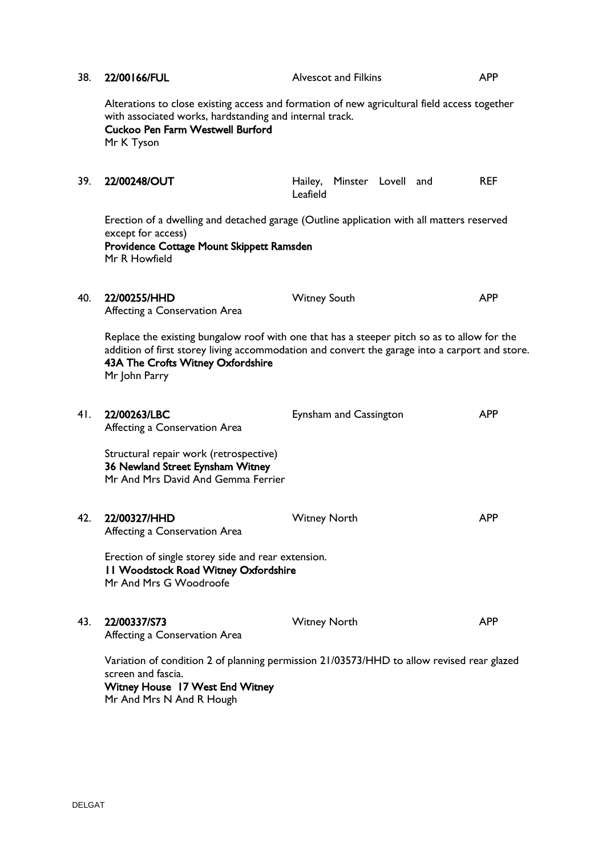| 38. | 22/00166/FUL                                                                                                         | <b>Alvescot and Filkins</b>                                                                                                                                                                   | <b>APP</b> |
|-----|----------------------------------------------------------------------------------------------------------------------|-----------------------------------------------------------------------------------------------------------------------------------------------------------------------------------------------|------------|
|     | with associated works, hardstanding and internal track.<br>Cuckoo Pen Farm Westwell Burford<br>Mr K Tyson            | Alterations to close existing access and formation of new agricultural field access together                                                                                                  |            |
| 39. | 22/00248/OUT                                                                                                         | Hailey, Minster Lovell and<br>Leafield                                                                                                                                                        | <b>REF</b> |
|     | except for access)<br>Providence Cottage Mount Skippett Ramsden<br>Mr R Howfield                                     | Erection of a dwelling and detached garage (Outline application with all matters reserved                                                                                                     |            |
| 40. | 22/00255/HHD<br>Affecting a Conservation Area                                                                        | <b>Witney South</b>                                                                                                                                                                           | <b>APP</b> |
|     | 43A The Crofts Witney Oxfordshire<br>Mr John Parry                                                                   | Replace the existing bungalow roof with one that has a steeper pitch so as to allow for the<br>addition of first storey living accommodation and convert the garage into a carport and store. |            |
| 41. | 22/00263/LBC<br>Affecting a Conservation Area                                                                        | Eynsham and Cassington                                                                                                                                                                        | <b>APP</b> |
|     | Structural repair work (retrospective)<br>36 Newland Street Eynsham Witney<br>Mr And Mrs David And Gemma Ferrier     |                                                                                                                                                                                               |            |
| 42. | 22/00327/HHD<br>Affecting a Conservation Area                                                                        | <b>Witney North</b>                                                                                                                                                                           | <b>APP</b> |
|     | Erection of single storey side and rear extension.<br>11 Woodstock Road Witney Oxfordshire<br>Mr And Mrs G Woodroofe |                                                                                                                                                                                               |            |
| 43. | 22/00337/S73<br>Affecting a Conservation Area                                                                        | <b>Witney North</b>                                                                                                                                                                           | <b>APP</b> |
|     | screen and fascia.<br><b>Witney House 17 West End Witney</b><br>Mr And Mrs N And R Hough                             | Variation of condition 2 of planning permission 21/03573/HHD to allow revised rear glazed                                                                                                     |            |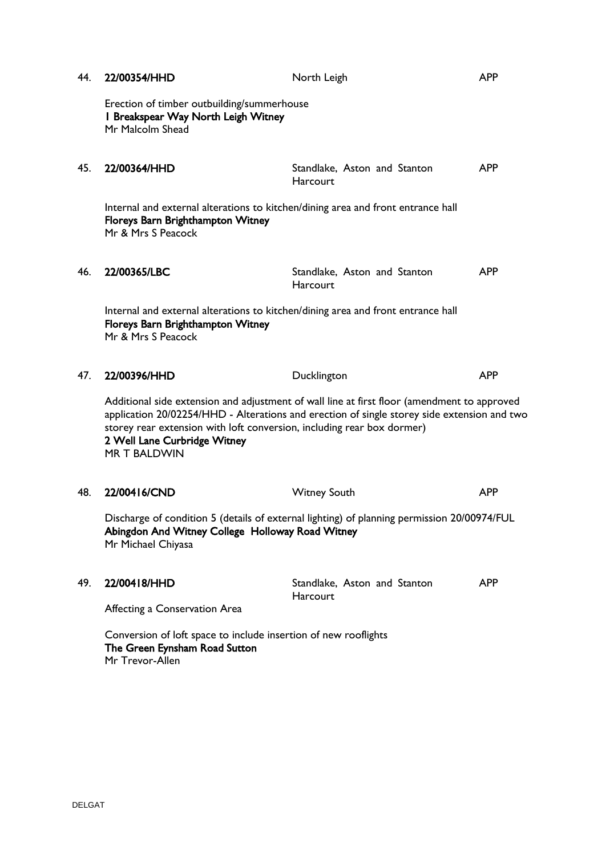| 44. | 22/00354/HHD                                                                                                                                                          | North Leigh                                                                                                                                                                                | <b>APP</b> |
|-----|-----------------------------------------------------------------------------------------------------------------------------------------------------------------------|--------------------------------------------------------------------------------------------------------------------------------------------------------------------------------------------|------------|
|     | Erection of timber outbuilding/summerhouse<br>I Breakspear Way North Leigh Witney<br>Mr Malcolm Shead                                                                 |                                                                                                                                                                                            |            |
| 45. | 22/00364/HHD                                                                                                                                                          | Standlake, Aston and Stanton<br><b>Harcourt</b>                                                                                                                                            | <b>APP</b> |
|     | Internal and external alterations to kitchen/dining area and front entrance hall<br>Floreys Barn Brighthampton Witney<br>Mr & Mrs S Peacock                           |                                                                                                                                                                                            |            |
| 46. | 22/00365/LBC                                                                                                                                                          | Standlake, Aston and Stanton<br><b>Harcourt</b>                                                                                                                                            | <b>APP</b> |
|     | Internal and external alterations to kitchen/dining area and front entrance hall<br>Floreys Barn Brighthampton Witney<br>Mr & Mrs S Peacock                           |                                                                                                                                                                                            |            |
| 47. | 22/00396/HHD                                                                                                                                                          | Ducklington                                                                                                                                                                                | <b>APP</b> |
|     | storey rear extension with loft conversion, including rear box dormer)<br>2 Well Lane Curbridge Witney<br><b>MR T BALDWIN</b>                                         | Additional side extension and adjustment of wall line at first floor (amendment to approved<br>application 20/02254/HHD - Alterations and erection of single storey side extension and two |            |
| 48. | 22/00416/CND                                                                                                                                                          | <b>Witney South</b>                                                                                                                                                                        | <b>APP</b> |
|     | Discharge of condition 5 (details of external lighting) of planning permission 20/00974/FUL<br>Abingdon And Witney College Holloway Road Witney<br>Mr Michael Chiyasa |                                                                                                                                                                                            |            |
| 49. | 22/00418/HHD<br>Affecting a Conservation Area                                                                                                                         | Standlake, Aston and Stanton<br>Harcourt                                                                                                                                                   | <b>APP</b> |
|     | Conversion of loft space to include insertion of new rooflights<br>The Green Eynsham Road Sutton<br>Mr Trevor-Allen                                                   |                                                                                                                                                                                            |            |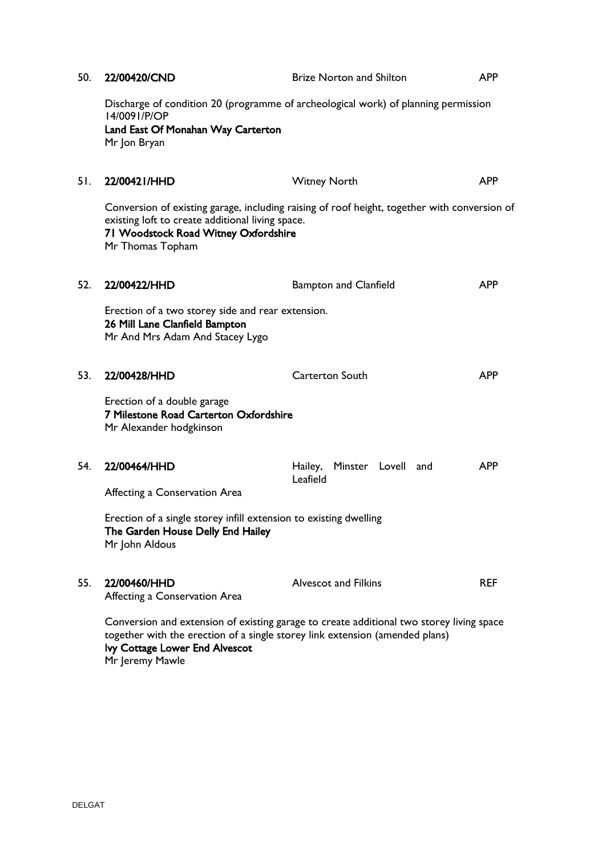| 50. | 22/00420/CND                                                                                                                      | <b>Brize Norton and Shilton</b>                                                              | <b>APP</b> |
|-----|-----------------------------------------------------------------------------------------------------------------------------------|----------------------------------------------------------------------------------------------|------------|
|     | 14/0091/P/OP<br>Land East Of Monahan Way Carterton<br>Mr Jon Bryan                                                                | Discharge of condition 20 (programme of archeological work) of planning permission           |            |
| 51. | 22/00421/HHD                                                                                                                      | <b>Witney North</b>                                                                          | <b>APP</b> |
|     | existing loft to create additional living space.<br>71 Woodstock Road Witney Oxfordshire<br>Mr Thomas Topham                      | Conversion of existing garage, including raising of roof height, together with conversion of |            |
| 52. | 22/00422/HHD                                                                                                                      | <b>Bampton and Clanfield</b>                                                                 | <b>APP</b> |
|     | Erection of a two storey side and rear extension.<br>26 Mill Lane Clanfield Bampton<br>Mr And Mrs Adam And Stacey Lygo            |                                                                                              |            |
| 53. | 22/00428/HHD                                                                                                                      | <b>Carterton South</b>                                                                       | <b>APP</b> |
|     | Erection of a double garage<br>7 Milestone Road Carterton Oxfordshire<br>Mr Alexander hodgkinson                                  |                                                                                              |            |
| 54. | 22/00464/HHD                                                                                                                      | Hailey,<br>Minster Lovell and<br>Leafield                                                    | <b>APP</b> |
|     | Affecting a Conservation Area                                                                                                     |                                                                                              |            |
|     | Erection of a single storey infill extension to existing dwelling<br>The Garden House Delly End Hailey<br>Mr John Aldous          |                                                                                              |            |
| 55. | 22/00460/HHD<br>Affecting a Conservation Area                                                                                     | <b>Alvescot and Filkins</b>                                                                  | <b>REF</b> |
|     | together with the erection of a single storey link extension (amended plans)<br>lvy Cottage Lower End Alvescot<br>Mr Jeremy Mawle | Conversion and extension of existing garage to create additional two storey living space     |            |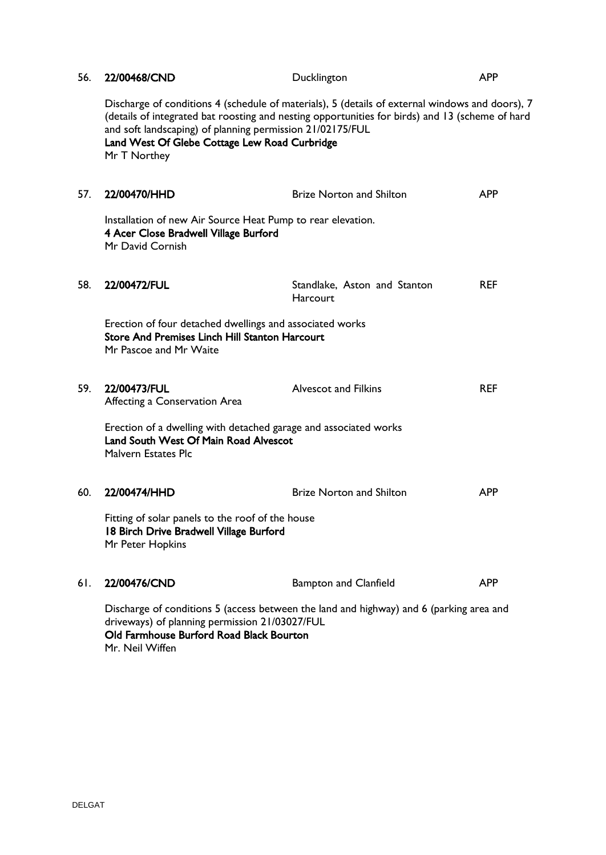| 56. | 22/00468/CND                                                                                                                                | Ducklington                                                                                                                                                                                        | <b>APP</b> |
|-----|---------------------------------------------------------------------------------------------------------------------------------------------|----------------------------------------------------------------------------------------------------------------------------------------------------------------------------------------------------|------------|
|     | and soft landscaping) of planning permission 21/02175/FUL<br>Land West Of Glebe Cottage Lew Road Curbridge<br>Mr T Northey                  | Discharge of conditions 4 (schedule of materials), 5 (details of external windows and doors), 7<br>(details of integrated bat roosting and nesting opportunities for birds) and 13 (scheme of hard |            |
| 57. | 22/00470/HHD                                                                                                                                | <b>Brize Norton and Shilton</b>                                                                                                                                                                    | <b>APP</b> |
|     | Installation of new Air Source Heat Pump to rear elevation.<br>4 Acer Close Bradwell Village Burford<br>Mr David Cornish                    |                                                                                                                                                                                                    |            |
| 58. | 22/00472/FUL                                                                                                                                | Standlake, Aston and Stanton<br>Harcourt                                                                                                                                                           | <b>REF</b> |
|     | Erection of four detached dwellings and associated works<br><b>Store And Premises Linch Hill Stanton Harcourt</b><br>Mr Pascoe and Mr Waite |                                                                                                                                                                                                    |            |
| 59. | 22/00473/FUL<br>Affecting a Conservation Area                                                                                               | <b>Alvescot and Filkins</b>                                                                                                                                                                        | <b>REF</b> |
|     | Erection of a dwelling with detached garage and associated works<br>Land South West Of Main Road Alvescot<br><b>Malvern Estates Plc</b>     |                                                                                                                                                                                                    |            |
| 60. | 22/00474/HHD                                                                                                                                | <b>Brize Norton and Shilton</b>                                                                                                                                                                    | <b>APP</b> |
|     | Fitting of solar panels to the roof of the house<br>18 Birch Drive Bradwell Village Burford<br>Mr Peter Hopkins                             |                                                                                                                                                                                                    |            |
| 61. | 22/00476/CND                                                                                                                                | <b>Bampton and Clanfield</b>                                                                                                                                                                       | <b>APP</b> |
|     | driveways) of planning permission 21/03027/FUL<br>Old Farmhouse Burford Road Black Bourton<br>Mr. Neil Wiffen                               | Discharge of conditions 5 (access between the land and highway) and 6 (parking area and                                                                                                            |            |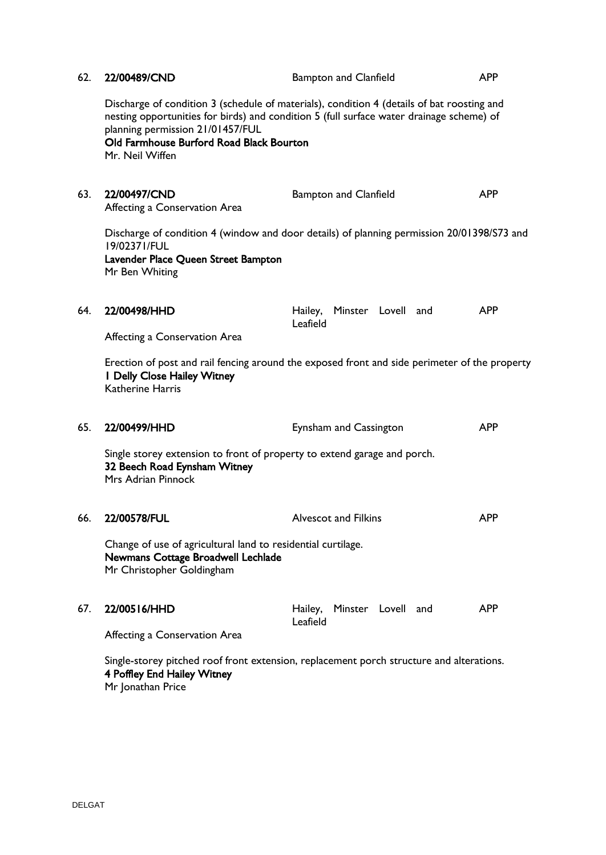| 62.                                                                                                                                          | 22/00489/CND                                                                                                                                                        | <b>Bampton and Clanfield</b>                                                                                                                                                           | <b>APP</b> |  |
|----------------------------------------------------------------------------------------------------------------------------------------------|---------------------------------------------------------------------------------------------------------------------------------------------------------------------|----------------------------------------------------------------------------------------------------------------------------------------------------------------------------------------|------------|--|
|                                                                                                                                              | planning permission 21/01457/FUL<br>Old Farmhouse Burford Road Black Bourton<br>Mr. Neil Wiffen                                                                     | Discharge of condition 3 (schedule of materials), condition 4 (details of bat roosting and<br>nesting opportunities for birds) and condition 5 (full surface water drainage scheme) of |            |  |
| 63.                                                                                                                                          | 22/00497/CND<br>Affecting a Conservation Area                                                                                                                       | <b>Bampton and Clanfield</b>                                                                                                                                                           | <b>APP</b> |  |
|                                                                                                                                              | Discharge of condition 4 (window and door details) of planning permission 20/01398/S73 and<br>19/02371/FUL<br>Lavender Place Queen Street Bampton<br>Mr Ben Whiting |                                                                                                                                                                                        |            |  |
| 64.                                                                                                                                          | 22/00498/HHD<br>Affecting a Conservation Area                                                                                                                       | Hailey, Minster Lovell and<br>Leafield                                                                                                                                                 | <b>APP</b> |  |
|                                                                                                                                              | I Delly Close Hailey Witney<br><b>Katherine Harris</b>                                                                                                              | Erection of post and rail fencing around the exposed front and side perimeter of the property                                                                                          |            |  |
| 65.                                                                                                                                          | 22/00499/HHD                                                                                                                                                        | Eynsham and Cassington                                                                                                                                                                 | <b>APP</b> |  |
|                                                                                                                                              | Single storey extension to front of property to extend garage and porch.<br>32 Beech Road Eynsham Witney<br>Mrs Adrian Pinnock                                      |                                                                                                                                                                                        |            |  |
| 66.                                                                                                                                          | 22/00578/FUL                                                                                                                                                        | <b>Alvescot and Filkins</b>                                                                                                                                                            | <b>APP</b> |  |
|                                                                                                                                              | Change of use of agricultural land to residential curtilage.<br>Newmans Cottage Broadwell Lechlade<br>Mr Christopher Goldingham                                     |                                                                                                                                                                                        |            |  |
| 67.                                                                                                                                          | 22/00516/HHD<br>Affecting a Conservation Area                                                                                                                       | Hailey, Minster Lovell and<br>Leafield                                                                                                                                                 | <b>APP</b> |  |
| Single-storey pitched roof front extension, replacement porch structure and alterations.<br>4 Poffley End Hailey Witney<br>Mr Jonathan Price |                                                                                                                                                                     |                                                                                                                                                                                        |            |  |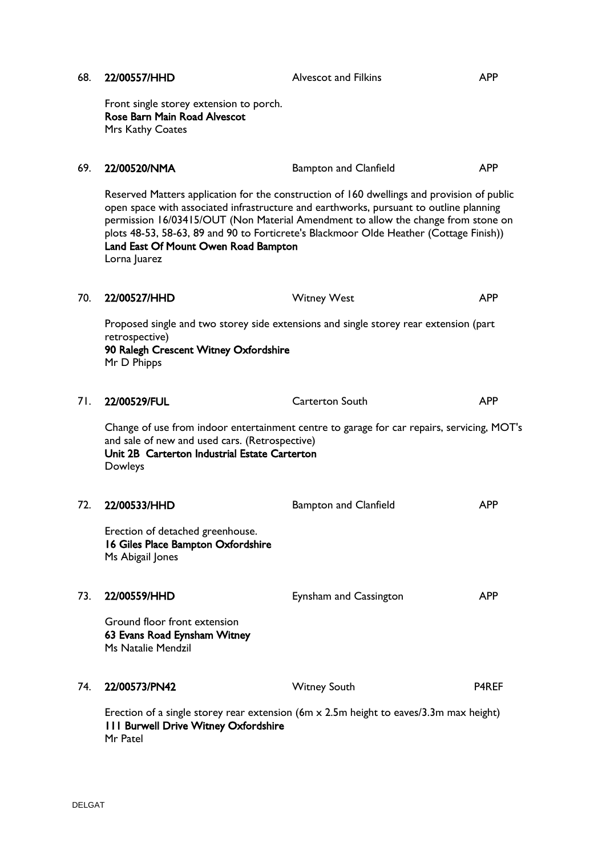| 68. | 22/00557/HHD                                                                                                                                                                                                                                                                                                                                                                                                                | <b>Alvescot and Filkins</b>                                                                | <b>APP</b>   |
|-----|-----------------------------------------------------------------------------------------------------------------------------------------------------------------------------------------------------------------------------------------------------------------------------------------------------------------------------------------------------------------------------------------------------------------------------|--------------------------------------------------------------------------------------------|--------------|
|     | Front single storey extension to porch.<br>Rose Barn Main Road Alvescot<br>Mrs Kathy Coates                                                                                                                                                                                                                                                                                                                                 |                                                                                            |              |
| 69. | 22/00520/NMA                                                                                                                                                                                                                                                                                                                                                                                                                | <b>Bampton and Clanfield</b>                                                               | <b>APP</b>   |
|     | Reserved Matters application for the construction of 160 dwellings and provision of public<br>open space with associated infrastructure and earthworks, pursuant to outline planning<br>permission 16/03415/OUT (Non Material Amendment to allow the change from stone on<br>plots 48-53, 58-63, 89 and 90 to Forticrete's Blackmoor Olde Heather (Cottage Finish))<br>Land East Of Mount Owen Road Bampton<br>Lorna Juarez |                                                                                            |              |
| 70. | 22/00527/HHD                                                                                                                                                                                                                                                                                                                                                                                                                | <b>Witney West</b>                                                                         | <b>APP</b>   |
|     | Proposed single and two storey side extensions and single storey rear extension (part<br>retrospective)<br>90 Ralegh Crescent Witney Oxfordshire<br>Mr D Phipps                                                                                                                                                                                                                                                             |                                                                                            |              |
| 71. | 22/00529/FUL                                                                                                                                                                                                                                                                                                                                                                                                                | <b>Carterton South</b>                                                                     | <b>APP</b>   |
|     | and sale of new and used cars. (Retrospective)<br>Unit 2B Carterton Industrial Estate Carterton<br>Dowleys                                                                                                                                                                                                                                                                                                                  | Change of use from indoor entertainment centre to garage for car repairs, servicing, MOT's |              |
| 72. | 22/00533/HHD                                                                                                                                                                                                                                                                                                                                                                                                                | <b>Bampton and Clanfield</b>                                                               | <b>APP</b>   |
|     | Erection of detached greenhouse.<br>16 Giles Place Bampton Oxfordshire<br>Ms Abigail Jones                                                                                                                                                                                                                                                                                                                                  |                                                                                            |              |
| 73. | 22/00559/HHD                                                                                                                                                                                                                                                                                                                                                                                                                | Eynsham and Cassington                                                                     | <b>APP</b>   |
|     | Ground floor front extension<br>63 Evans Road Eynsham Witney<br>Ms Natalie Mendzil                                                                                                                                                                                                                                                                                                                                          |                                                                                            |              |
| 74. | 22/00573/PN42                                                                                                                                                                                                                                                                                                                                                                                                               | <b>Witney South</b>                                                                        | <b>P4REF</b> |
|     | Erection of a single storey rear extension (6m $\times$ 2.5m height to eaves/3.3m max height)<br>111 Burwell Drive Witney Oxfordshire<br>Mr Patel                                                                                                                                                                                                                                                                           |                                                                                            |              |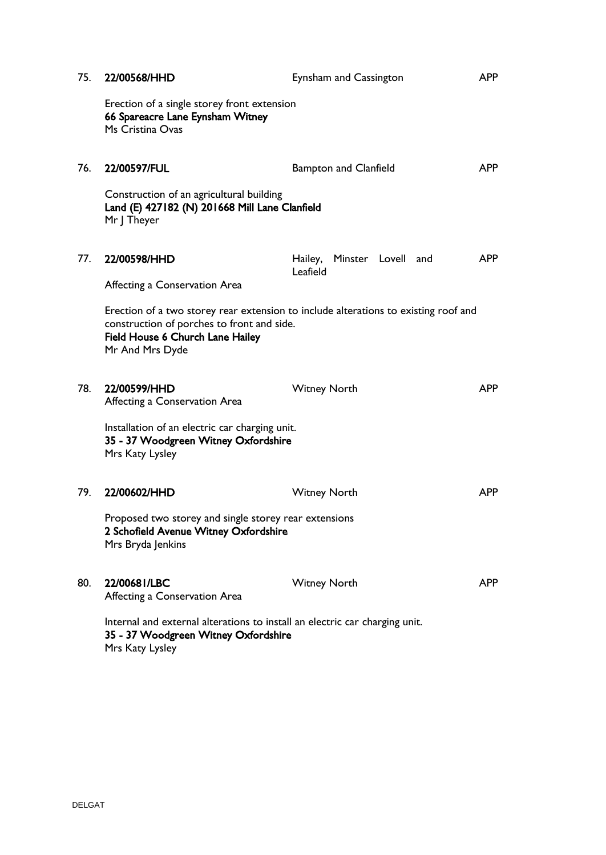| 75. | 22/00568/HHD                                                                                                                           | Eynsham and Cassington                                                              | <b>APP</b> |
|-----|----------------------------------------------------------------------------------------------------------------------------------------|-------------------------------------------------------------------------------------|------------|
|     | Erection of a single storey front extension<br>66 Spareacre Lane Eynsham Witney<br>Ms Cristina Ovas                                    |                                                                                     |            |
| 76. | 22/00597/FUL                                                                                                                           | <b>Bampton and Clanfield</b>                                                        | <b>APP</b> |
|     | Construction of an agricultural building<br>Land (E) 427182 (N) 201668 Mill Lane Clanfield<br>Mr J Theyer                              |                                                                                     |            |
| 77. | 22/00598/HHD                                                                                                                           | Hailey, Minster Lovell and<br>Leafield                                              | <b>APP</b> |
|     | Affecting a Conservation Area                                                                                                          |                                                                                     |            |
|     | construction of porches to front and side.<br>Field House 6 Church Lane Hailey<br>Mr And Mrs Dyde                                      | Erection of a two storey rear extension to include alterations to existing roof and |            |
| 78. | 22/00599/HHD<br>Affecting a Conservation Area                                                                                          | <b>Witney North</b>                                                                 | <b>APP</b> |
|     | Installation of an electric car charging unit.<br>35 - 37 Woodgreen Witney Oxfordshire<br>Mrs Katy Lysley                              |                                                                                     |            |
| 79. | 22/00602/HHD                                                                                                                           | <b>Witney North</b>                                                                 | <b>APP</b> |
|     | Proposed two storey and single storey rear extensions<br>2 Schofield Avenue Witney Oxfordshire<br>Mrs Bryda Jenkins                    |                                                                                     |            |
| 80. | 22/00681/LBC<br>Affecting a Conservation Area                                                                                          | <b>Witney North</b>                                                                 | <b>APP</b> |
|     | Internal and external alterations to install an electric car charging unit.<br>35 - 37 Woodgreen Witney Oxfordshire<br>Mrs Katy Lysley |                                                                                     |            |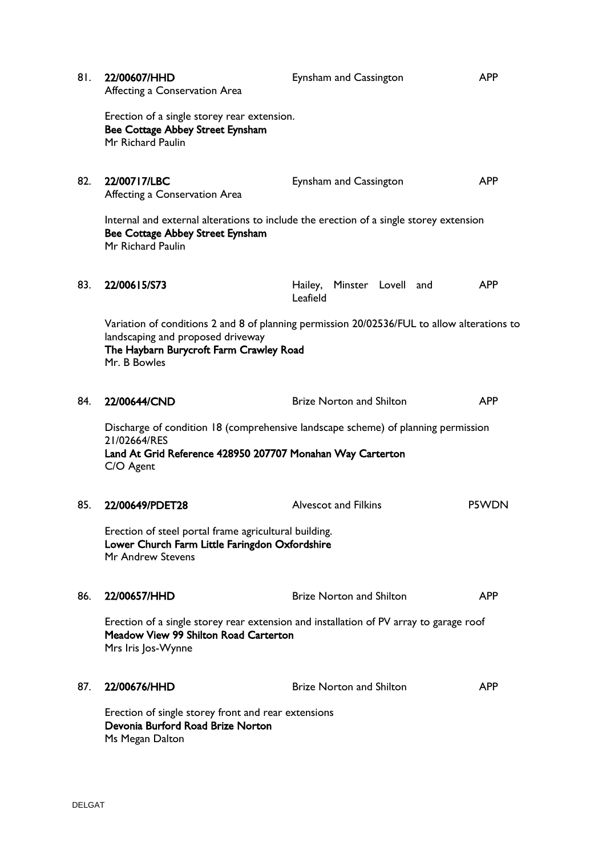| 81. | 22/00607/HHD<br>Affecting a Conservation Area                                                                                                                                               | Eynsham and Cassington                 | <b>APP</b>   |  |
|-----|---------------------------------------------------------------------------------------------------------------------------------------------------------------------------------------------|----------------------------------------|--------------|--|
|     | Erection of a single storey rear extension.<br>Bee Cottage Abbey Street Eynsham<br>Mr Richard Paulin                                                                                        |                                        |              |  |
| 82. | 22/00717/LBC<br>Affecting a Conservation Area                                                                                                                                               | Eynsham and Cassington                 | <b>APP</b>   |  |
|     | Internal and external alterations to include the erection of a single storey extension<br>Bee Cottage Abbey Street Eynsham<br>Mr Richard Paulin                                             |                                        |              |  |
| 83. | 22/00615/S73                                                                                                                                                                                | Hailey, Minster Lovell and<br>Leafield | <b>APP</b>   |  |
|     | Variation of conditions 2 and 8 of planning permission 20/02536/FUL to allow alterations to<br>landscaping and proposed driveway<br>The Haybarn Burycroft Farm Crawley Road<br>Mr. B Bowles |                                        |              |  |
| 84. | 22/00644/CND                                                                                                                                                                                | <b>Brize Norton and Shilton</b>        | <b>APP</b>   |  |
|     | Discharge of condition 18 (comprehensive landscape scheme) of planning permission<br>21/02664/RES<br>Land At Grid Reference 428950 207707 Monahan Way Carterton<br>C/O Agent                |                                        |              |  |
| 85. | 22/00649/PDET28                                                                                                                                                                             | <b>Alvescot and Filkins</b>            | <b>P5WDN</b> |  |
|     | Erection of steel portal frame agricultural building.<br>Lower Church Farm Little Faringdon Oxfordshire<br>Mr Andrew Stevens                                                                |                                        |              |  |
| 86. | 22/00657/HHD                                                                                                                                                                                | <b>Brize Norton and Shilton</b>        | <b>APP</b>   |  |
|     | Erection of a single storey rear extension and installation of PV array to garage roof<br>Meadow View 99 Shilton Road Carterton<br>Mrs Iris Jos-Wynne                                       |                                        |              |  |
| 87. | 22/00676/HHD                                                                                                                                                                                | <b>Brize Norton and Shilton</b>        | <b>APP</b>   |  |
|     | Erection of single storey front and rear extensions<br>Devonia Burford Road Brize Norton<br>Ms Megan Dalton                                                                                 |                                        |              |  |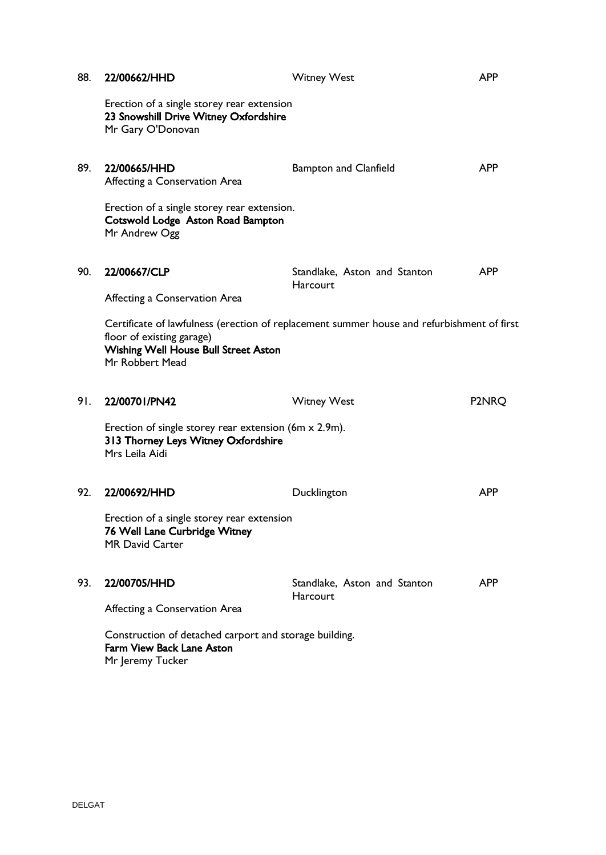| 88. | 22/00662/HHD                                                                                                                                                                                                        | <b>Witney West</b>                       | <b>APP</b> |
|-----|---------------------------------------------------------------------------------------------------------------------------------------------------------------------------------------------------------------------|------------------------------------------|------------|
|     | Erection of a single storey rear extension<br>23 Snowshill Drive Witney Oxfordshire<br>Mr Gary O'Donovan                                                                                                            |                                          |            |
| 89. | 22/00665/HHD<br>Affecting a Conservation Area                                                                                                                                                                       | <b>Bampton and Clanfield</b>             | <b>APP</b> |
|     | Erection of a single storey rear extension.<br>Cotswold Lodge Aston Road Bampton<br>Mr Andrew Ogg                                                                                                                   |                                          |            |
| 90. | 22/00667/CLP                                                                                                                                                                                                        | Standlake, Aston and Stanton<br>Harcourt | <b>APP</b> |
|     | Affecting a Conservation Area<br>Certificate of lawfulness (erection of replacement summer house and refurbishment of first<br>floor of existing garage)<br>Wishing Well House Bull Street Aston<br>Mr Robbert Mead |                                          |            |
| 91. | 22/00701/PN42                                                                                                                                                                                                       | <b>Witney West</b>                       | P2NRQ      |
|     | Erection of single storey rear extension (6m x 2.9m).<br>313 Thorney Leys Witney Oxfordshire<br>Mrs Leila Aidi                                                                                                      |                                          |            |
| 92. | 22/00692/HHD                                                                                                                                                                                                        | Ducklington                              | <b>APP</b> |
|     | Erection of a single storey rear extension<br>76 Well Lane Curbridge Witney<br><b>MR David Carter</b>                                                                                                               |                                          |            |
| 93. | 22/00705/HHD<br>Affecting a Conservation Area                                                                                                                                                                       | Standlake, Aston and Stanton<br>Harcourt | <b>APP</b> |
|     | Construction of detached carport and storage building.<br><b>Farm View Back Lane Aston</b><br>Mr Jeremy Tucker                                                                                                      |                                          |            |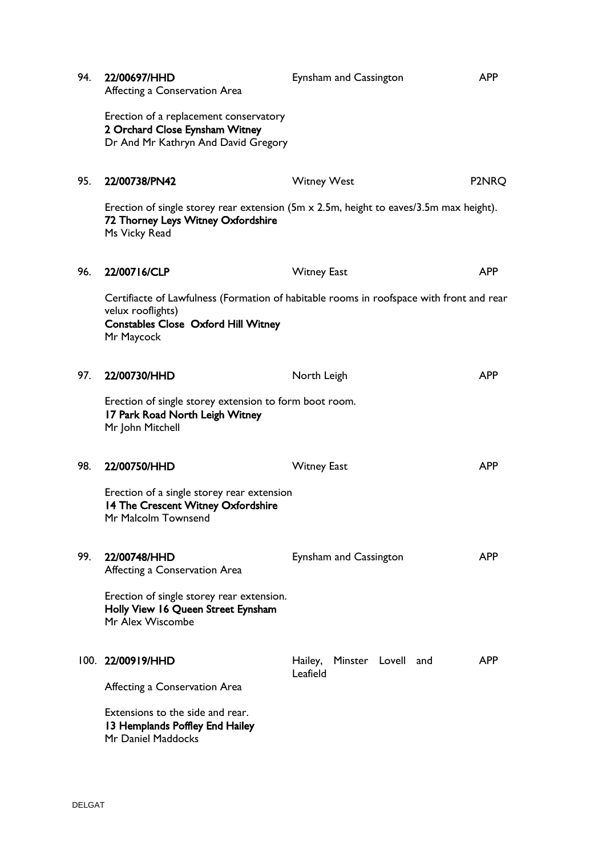| 94. | 22/00697/HHD<br>Affecting a Conservation Area                                                                                                                             | Eynsham and Cassington                    | <b>APP</b> |
|-----|---------------------------------------------------------------------------------------------------------------------------------------------------------------------------|-------------------------------------------|------------|
|     | Erection of a replacement conservatory<br>2 Orchard Close Eynsham Witney<br>Dr And Mr Kathryn And David Gregory                                                           |                                           |            |
| 95. | 22/00738/PN42                                                                                                                                                             | <b>Witney West</b>                        | P2NRQ      |
|     | Erection of single storey rear extension (5m $\times$ 2.5m, height to eaves/3.5m max height).<br>72 Thorney Leys Witney Oxfordshire<br>Ms Vicky Read                      |                                           |            |
| 96. | 22/00716/CLP                                                                                                                                                              | <b>Witney East</b>                        | <b>APP</b> |
|     | Certifiacte of Lawfulness (Formation of habitable rooms in roofspace with front and rear<br>velux rooflights)<br><b>Constables Close Oxford Hill Witney</b><br>Mr Maycock |                                           |            |
| 97. | 22/00730/HHD                                                                                                                                                              | North Leigh                               | <b>APP</b> |
|     | Erection of single storey extension to form boot room.<br>17 Park Road North Leigh Witney<br>Mr John Mitchell                                                             |                                           |            |
| 98. | 22/00750/HHD                                                                                                                                                              | <b>Witney East</b>                        | <b>APP</b> |
|     | Erection of a single storey rear extension<br>14 The Crescent Witney Oxfordshire<br>Mr Malcolm Townsend                                                                   |                                           |            |
| 99. | 22/00748/HHD<br>Affecting a Conservation Area                                                                                                                             | Eynsham and Cassington                    | <b>APP</b> |
|     | Erection of single storey rear extension.<br>Holly View 16 Queen Street Eynsham<br>Mr Alex Wiscombe                                                                       |                                           |            |
|     | 100. 22/00919/HHD                                                                                                                                                         | Minster Lovell and<br>Hailey,<br>Leafield | <b>APP</b> |
|     | Affecting a Conservation Area                                                                                                                                             |                                           |            |
|     | Extensions to the side and rear.<br>13 Hemplands Poffley End Hailey<br>Mr Daniel Maddocks                                                                                 |                                           |            |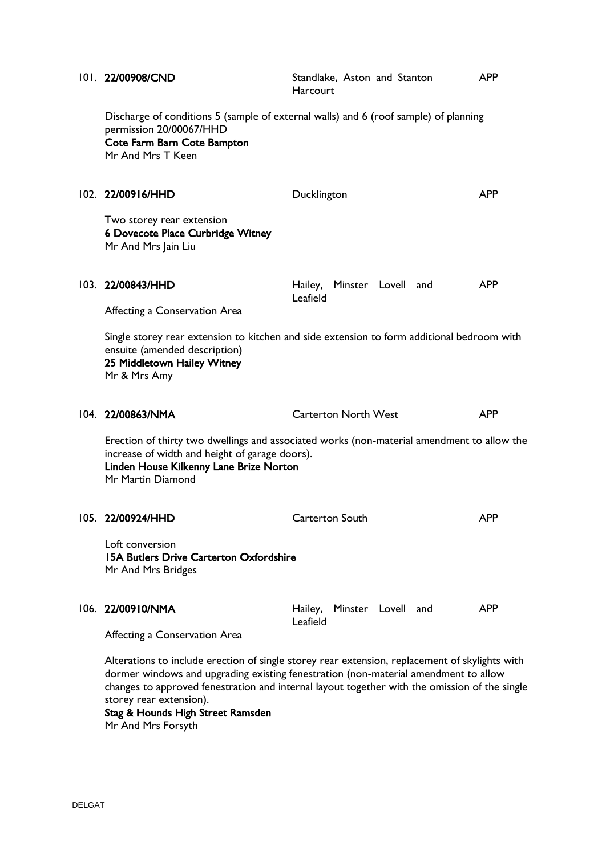|  | 101. 22/00908/CND                                                                                                                                                                                            | Standlake, Aston and Stanton<br>Harcourt                                                                                                                                                                                                                                               | <b>APP</b> |  |
|--|--------------------------------------------------------------------------------------------------------------------------------------------------------------------------------------------------------------|----------------------------------------------------------------------------------------------------------------------------------------------------------------------------------------------------------------------------------------------------------------------------------------|------------|--|
|  | permission 20/00067/HHD<br>Cote Farm Barn Cote Bampton<br>Mr And Mrs T Keen                                                                                                                                  | Discharge of conditions 5 (sample of external walls) and 6 (roof sample) of planning                                                                                                                                                                                                   |            |  |
|  | 102. 22/00916/HHD                                                                                                                                                                                            | Ducklington                                                                                                                                                                                                                                                                            | <b>APP</b> |  |
|  | Two storey rear extension<br>6 Dovecote Place Curbridge Witney<br>Mr And Mrs Jain Liu                                                                                                                        |                                                                                                                                                                                                                                                                                        |            |  |
|  | 103. 22/00843/HHD                                                                                                                                                                                            | Hailey, Minster Lovell and<br>Leafield                                                                                                                                                                                                                                                 | <b>APP</b> |  |
|  | Affecting a Conservation Area                                                                                                                                                                                |                                                                                                                                                                                                                                                                                        |            |  |
|  | ensuite (amended description)<br>25 Middletown Hailey Witney<br>Mr & Mrs Amy                                                                                                                                 | Single storey rear extension to kitchen and side extension to form additional bedroom with                                                                                                                                                                                             |            |  |
|  | 104. 22/00863/NMA                                                                                                                                                                                            | <b>Carterton North West</b>                                                                                                                                                                                                                                                            | <b>APP</b> |  |
|  | Erection of thirty two dwellings and associated works (non-material amendment to allow the<br>increase of width and height of garage doors).<br>Linden House Kilkenny Lane Brize Norton<br>Mr Martin Diamond |                                                                                                                                                                                                                                                                                        |            |  |
|  | 105. 22/00924/HHD                                                                                                                                                                                            | Carterton South                                                                                                                                                                                                                                                                        | <b>APP</b> |  |
|  | Loft conversion<br><b>15A Butlers Drive Carterton Oxfordshire</b><br>Mr And Mrs Bridges                                                                                                                      |                                                                                                                                                                                                                                                                                        |            |  |
|  | 106. 22/00910/NMA                                                                                                                                                                                            | Hailey, Minster Lovell and<br>Leafield                                                                                                                                                                                                                                                 | <b>APP</b> |  |
|  | Affecting a Conservation Area                                                                                                                                                                                |                                                                                                                                                                                                                                                                                        |            |  |
|  | storey rear extension).<br>Stag & Hounds High Street Ramsden<br>Mr And Mrs Forsyth                                                                                                                           | Alterations to include erection of single storey rear extension, replacement of skylights with<br>dormer windows and upgrading existing fenestration (non-material amendment to allow<br>changes to approved fenestration and internal layout together with the omission of the single |            |  |